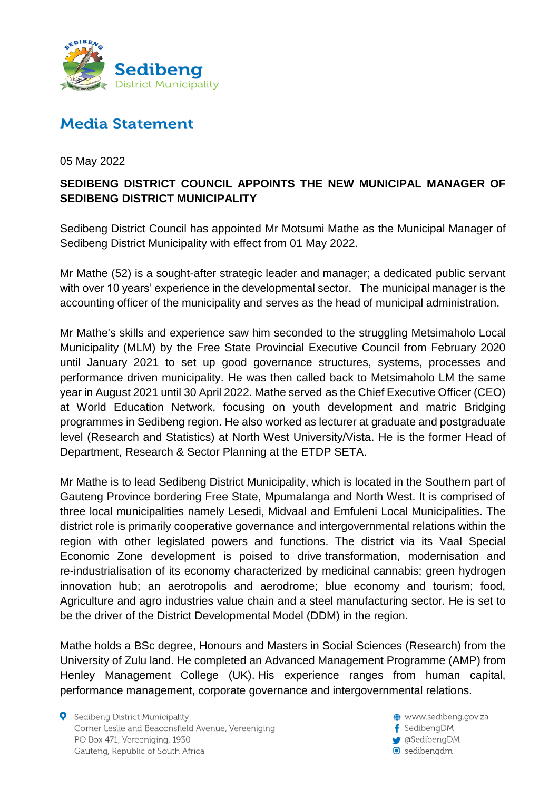

## **Media Statement**

05 May 2022

## **SEDIBENG DISTRICT COUNCIL APPOINTS THE NEW MUNICIPAL MANAGER OF SEDIBENG DISTRICT MUNICIPALITY**

Sedibeng District Council has appointed Mr Motsumi Mathe as the Municipal Manager of Sedibeng District Municipality with effect from 01 May 2022.

Mr Mathe (52) is a sought-after strategic leader and manager; a dedicated public servant with over 10 years' experience in the developmental sector. The municipal manager is the accounting officer of the municipality and serves as the head of municipal administration.

Mr Mathe's skills and experience saw him seconded to the struggling Metsimaholo Local Municipality (MLM) by the Free State Provincial Executive Council from February 2020 until January 2021 to set up good governance structures, systems, processes and performance driven municipality. He was then called back to Metsimaholo LM the same year in August 2021 until 30 April 2022. Mathe served as the Chief Executive Officer (CEO) at World Education Network, focusing on youth development and matric Bridging programmes in Sedibeng region. He also worked as lecturer at graduate and postgraduate level (Research and Statistics) at North West University/Vista. He is the former Head of Department, Research & Sector Planning at the ETDP SETA.

Mr Mathe is to lead Sedibeng District Municipality, which is located in the Southern part of Gauteng Province bordering Free State, Mpumalanga and North West. It is comprised of three local municipalities namely Lesedi, Midvaal and Emfuleni Local Municipalities. The district role is primarily cooperative governance and intergovernmental relations within the region with other legislated powers and functions. The district via its Vaal Special Economic Zone development is poised to drive transformation, modernisation and re-industrialisation of its economy characterized by medicinal cannabis; green hydrogen innovation hub; an aerotropolis and aerodrome; blue economy and tourism; food, Agriculture and agro industries value chain and a steel manufacturing sector. He is set to be the driver of the District Developmental Model (DDM) in the region.

Mathe holds a BSc degree, Honours and Masters in Social Sciences (Research) from the University of Zulu land. He completed an Advanced Management Programme (AMP) from Henley Management College (UK). His experience ranges from human capital, performance management, corporate governance and intergovernmental relations.